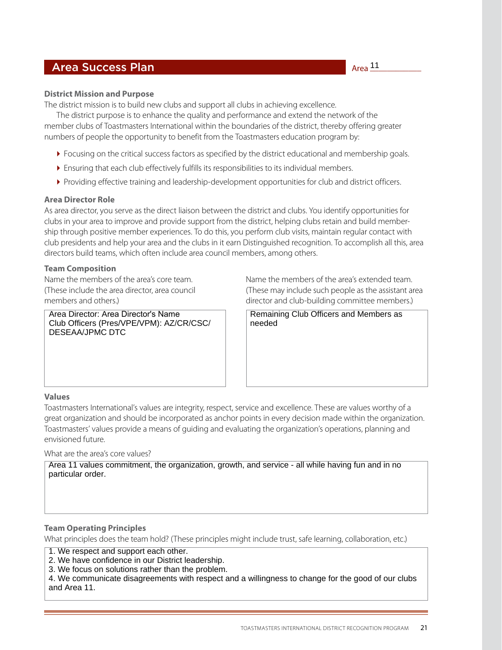# **Area Success Plan**

The district mission is to build new clubs and support all clubs in achieving excellence.

The district purpose is to enhance the quality and performance and extend the network of the member clubs of Toastmasters International within the boundaries of the district, thereby offering greater numbers of people the opportunity to benefit from the Toastmasters education program by:

- **Focusing on the critical success factors as specified by the district educational and membership goals.**
- Ensuring that each club effectively fulfills its responsibilities to its individual members.
- Providing effective training and leadership-development opportunities for club and district officers.

# **Area Director Role**

As area director, you serve as the direct liaison between the district and clubs. You identify opportunities for clubs in your area to improve and provide support from the district, helping clubs retain and build membership through positive member experiences. To do this, you perform club visits, maintain regular contact with club presidents and help your area and the clubs in it earn Distinguished recognition. To accomplish all this, area directors build teams, which often include area council members, among others.

# **Team Composition**

Area Director: Area Director's Name Club Officers (Pres/VPE/VPM): AZ/CR/CSC/ DESEAA/JPMC DTC

Name the members of the area's core team. Name the members of the area's extended team. (These include the area director, area council (These may include such people as the assistant area<br>
director and club-building committee members.) director and club-building committee members.)

> Remaining Club Officers and Members as needed

#### **Values**

Toastmasters International's values are integrity, respect, service and excellence. These are values worthy of a great organization and should be incorporated as anchor points in every decision made within the organization. Toastmasters' values provide a means of guiding and evaluating the organization's operations, planning and envisioned future.

What are the area's core values?

Area 11 values commitment, the organization, growth, and service - all while having fun and in no particular order.

# **Team Operating Principles**

What principles does the team hold? (These principles might include trust, safe learning, collaboration, etc.)

1. We respect and support each other.

- 2. We have confidence in our District leadership.
- 3. We focus on solutions rather than the problem.

4. We communicate disagreements with respect and a willingness to change for the good of our clubs and Area 11.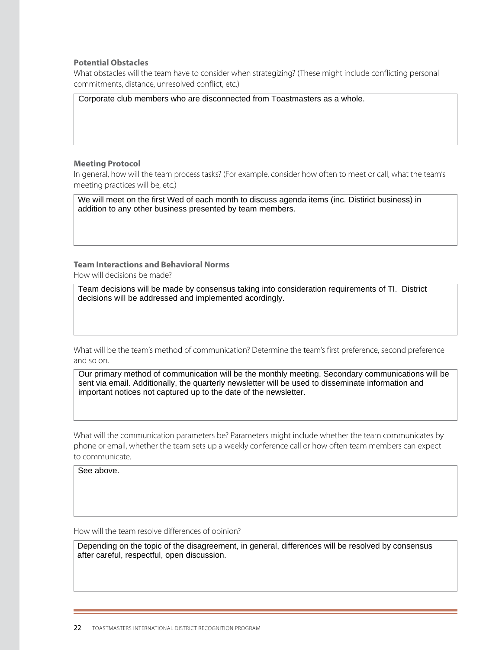#### **Potential Obstacles**

What obstacles will the team have to consider when strategizing? (These might include conflicting personal commitments, distance, unresolved conflict, etc.)

Corporate club members who are disconnected from Toastmasters as a whole.

#### **Meeting Protocol**

In general, how will the team process tasks? (For example, consider how often to meet or call, what the team's meeting practices will be, etc.)

We will meet on the first Wed of each month to discuss agenda items (inc. Distirict business) in addition to any other business presented by team members.

#### **Team Interactions and Behavioral Norms** How will decisions be made?

Team decisions will be made by consensus taking into consideration requirements of TI. District decisions will be addressed and implemented acordingly.

What will be the team's method of communication? Determine the team's first preference, second preference and so on.

Our primary method of communication will be the monthly meeting. Secondary communications will be sent via email. Additionally, the quarterly newsletter will be used to disseminate information and important notices not captured up to the date of the newsletter.

What will the communication parameters be? Parameters might include whether the team communicates by phone or email, whether the team sets up a weekly conference call or how often team members can expect to communicate.

See above.

How will the team resolve differences of opinion?

Depending on the topic of the disagreement, in general, differences will be resolved by consensus after careful, respectful, open discussion.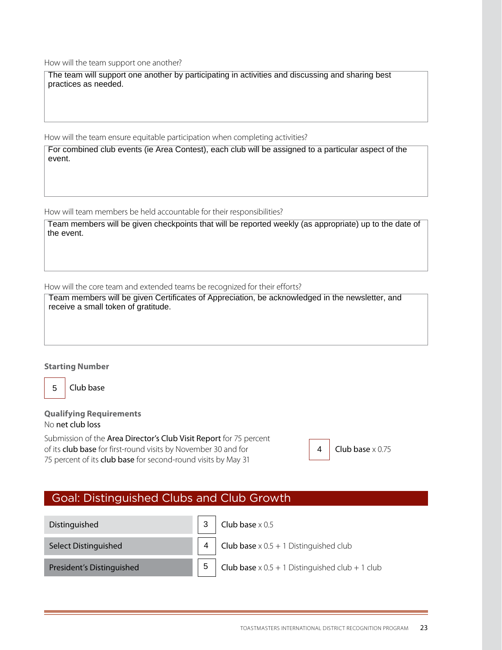How will the team support one another?

The team will support one another by participating in activities and discussing and sharing best practices as needed.

How will the team ensure equitable participation when completing activities?

For combined club events (ie Area Contest), each club will be assigned to a particular aspect of the event.

How will team members be held accountable for their responsibilities?

Team members will be given checkpoints that will be reported weekly (as appropriate) up to the date of the event.

How will the core team and extended teams be recognized for their efforts?

Team members will be given Certificates of Appreciation, be acknowledged in the newsletter, and receive a small token of gratitude.

#### **Starting Number**

5

Club base

#### **Qualifying Requirements** No net club loss

Submission of the Area Director's Club Visit Report for 75 percent of its **club base** for first-round visits by November 30 and for  $\vert$  **4 Club base** x 0.75 75 percent of its club base for second-round visits by May 31

4

# Goal: Distinguished Clubs and Club Growth

| Distinguished             | $\mathsf{l}$ Club base $\times$ 0.5                           |
|---------------------------|---------------------------------------------------------------|
| Select Distinguished      | 4 Club base $\times$ 0.5 + 1 Distinguished club               |
| President's Distinguished | <b>Club base</b> $\times$ 0.5 + 1 Distinguished club + 1 club |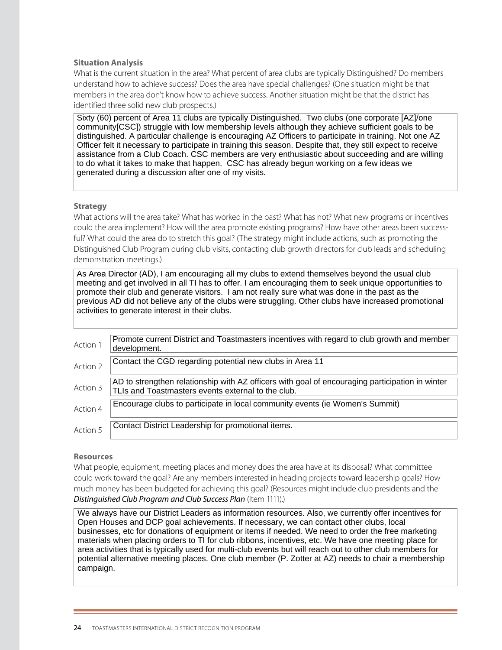### **Situation Analysis**

What is the current situation in the area? What percent of area clubs are typically Distinguished? Do members understand how to achieve success? Does the area have special challenges? (One situation might be that members in the area don't know how to achieve success. Another situation might be that the district has identified three solid new club prospects.)

Sixty (60) percent of Area 11 clubs are typically Distinguished. Two clubs (one corporate [AZ]/one community[CSC]) struggle with low membership levels although they achieve sufficient goals to be distinguished. A particular challenge is encouraging AZ Officers to participate in training. Not one AZ Officer felt it necessary to participate in training this season. Despite that, they still expect to receive assistance from a Club Coach. CSC members are very enthusiastic about succeeding and are willing to do what it takes to make that happen. CSC has already begun working on a few ideas we generated during a discussion after one of my visits.

#### **Strategy**

What actions will the area take? What has worked in the past? What has not? What new programs or incentives could the area implement? How will the area promote existing programs? How have other areas been successful? What could the area do to stretch this goal? (The strategy might include actions, such as promoting the Distinguished Club Program during club visits, contacting club growth directors for club leads and scheduling demonstration meetings.)

As Area Director (AD), I am encouraging all my clubs to extend themselves beyond the usual club meeting and get involved in all TI has to offer. I am encouraging them to seek unique opportunities to promote their club and generate visitors. I am not really sure what was done in the past as the previous AD did not believe any of the clubs were struggling. Other clubs have increased promotional activities to generate interest in their clubs.

| Action 1 | Promote current District and Toastmasters incentives with regard to club growth and member<br>development.                                            |
|----------|-------------------------------------------------------------------------------------------------------------------------------------------------------|
| Action 2 | Contact the CGD regarding potential new clubs in Area 11                                                                                              |
| Action 3 | AD to strengthen relationship with AZ officers with goal of encouraging participation in winter<br>TLIs and Toastmasters events external to the club. |
| Action 4 | Encourage clubs to participate in local community events (ie Women's Summit)                                                                          |
| Action 5 | Contact District Leadership for promotional items.                                                                                                    |

#### **Resources**

What people, equipment, meeting places and money does the area have at its disposal? What committee could work toward the goal? Are any members interested in heading projects toward leadership goals? How much money has been budgeted for achieving this goal? (Resources might include club presidents and the *Distinguished Club Program and Club Success Plan* (Item 1111).)

We always have our District Leaders as information resources. Also, we currently offer incentives for Open Houses and DCP goal achievements. If necessary, we can contact other clubs, local businesses, etc for donations of equipment or items if needed. We need to order the free marketing materials when placing orders to TI for club ribbons, incentives, etc. We have one meeting place for area activities that is typically used for multi-club events but will reach out to other club members for potential alternative meeting places. One club member (P. Zotter at AZ) needs to chair a membership campaign.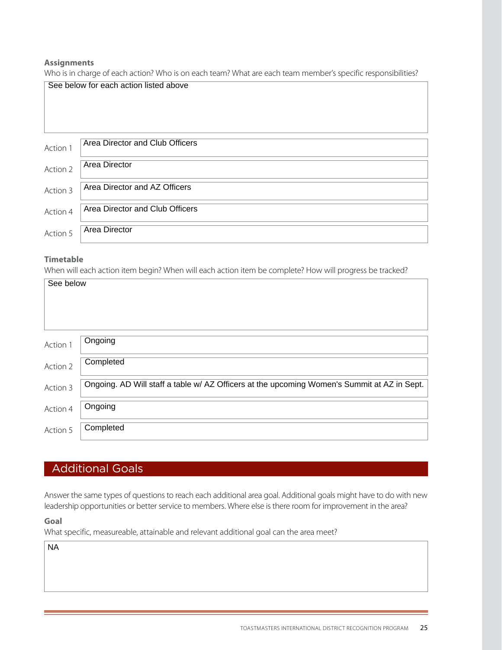### **Assignments**

Who is in charge of each action? Who is on each team? What are each team member's specific responsibilities?

|          | See below for each action listed above |
|----------|----------------------------------------|
|          | Area Director and Club Officers        |
| Action 1 |                                        |
| Action 2 | <b>Area Director</b>                   |
| Action 3 | Area Director and AZ Officers          |
| Action 4 | Area Director and Club Officers        |
| Action 5 | <b>Area Director</b>                   |

# **Timetable**

When will each action item begin? When will each action item be complete? How will progress be tracked?

| See below |                                                                                             |
|-----------|---------------------------------------------------------------------------------------------|
|           |                                                                                             |
|           |                                                                                             |
| Action 1  | Ongoing                                                                                     |
| Action 2  | Completed                                                                                   |
| Action 3  | Ongoing. AD Will staff a table w/ AZ Officers at the upcoming Women's Summit at AZ in Sept. |
| Action 4  | Ongoing                                                                                     |
| Action 5  | Completed                                                                                   |

# Additional Goals

Answer the same types of questions to reach each additional area goal. Additional goals might have to do with new leadership opportunities or better service to members. Where else is there room for improvement in the area?

**Goal**

What specific, measureable, attainable and relevant additional goal can the area meet?

NA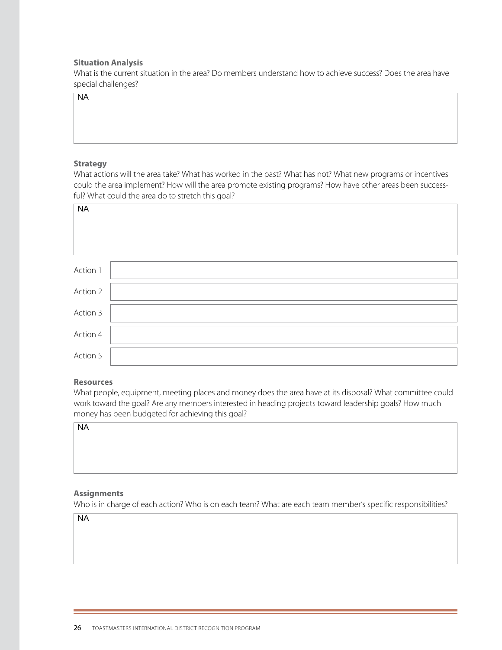#### **Situation Analysis**

What is the current situation in the area? Do members understand how to achieve success? Does the area have special challenges?

 $\overline{NA}$ 

#### **Strategy**

| NA                                                                                                                                                                                                                                                                            |  |
|-------------------------------------------------------------------------------------------------------------------------------------------------------------------------------------------------------------------------------------------------------------------------------|--|
|                                                                                                                                                                                                                                                                               |  |
|                                                                                                                                                                                                                                                                               |  |
| <b>Strategy</b>                                                                                                                                                                                                                                                               |  |
| What actions will the area take? What has worked in the past? What has not? What new programs or incentives<br>could the area implement? How will the area promote existing programs? How have other areas been success-<br>ful? What could the area do to stretch this goal? |  |
| $\overline{\mathsf{NA}}$                                                                                                                                                                                                                                                      |  |
|                                                                                                                                                                                                                                                                               |  |
|                                                                                                                                                                                                                                                                               |  |
| Action 1                                                                                                                                                                                                                                                                      |  |
| Action 2                                                                                                                                                                                                                                                                      |  |
| Action 3                                                                                                                                                                                                                                                                      |  |
| Action 4                                                                                                                                                                                                                                                                      |  |
| Action 5                                                                                                                                                                                                                                                                      |  |
| <b>Resources</b>                                                                                                                                                                                                                                                              |  |
| What people, equipment, meeting places and money does the area have at its disposal? What committee could<br>work toward the goal? Are any members interested in heading projects toward leadership goals? How much<br>money has been budgeted for achieving this goal?       |  |
| $N_A$                                                                                                                                                                                                                                                                         |  |
|                                                                                                                                                                                                                                                                               |  |
|                                                                                                                                                                                                                                                                               |  |
|                                                                                                                                                                                                                                                                               |  |
| <b>Assignments</b><br>Who is in charge of each action? Who is on each team? What are each team member's specific responsibilities?                                                                                                                                            |  |
| <b>NA</b>                                                                                                                                                                                                                                                                     |  |

#### **Resources**

### **Assignments**

 $\overline{NA}$